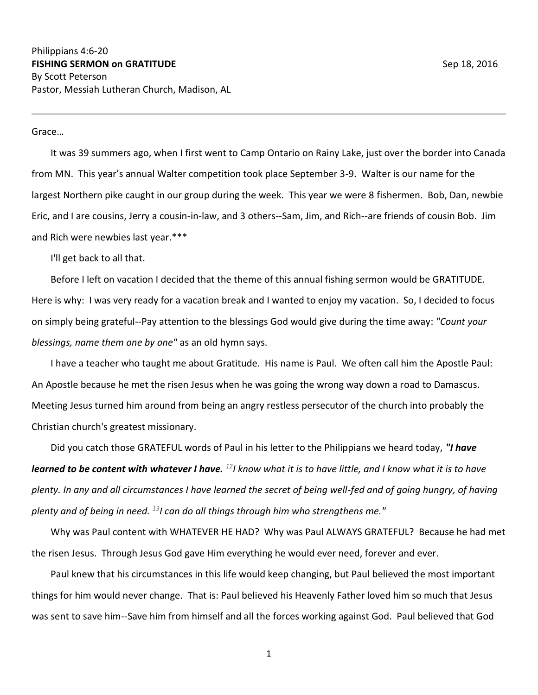Grace…

It was 39 summers ago, when I first went to Camp Ontario on Rainy Lake, just over the border into Canada from MN. This year's annual Walter competition took place September 3-9. Walter is our name for the largest Northern pike caught in our group during the week. This year we were 8 fishermen. Bob, Dan, newbie Eric, and I are cousins, Jerry a cousin-in-law, and 3 others--Sam, Jim, and Rich--are friends of cousin Bob. Jim and Rich were newbies last year.\*\*\*

I'll get back to all that.

Before I left on vacation I decided that the theme of this annual fishing sermon would be GRATITUDE. Here is why: I was very ready for a vacation break and I wanted to enjoy my vacation. So, I decided to focus on simply being grateful--Pay attention to the blessings God would give during the time away: *"Count your blessings, name them one by one"* as an old hymn says.

I have a teacher who taught me about Gratitude. His name is Paul. We often call him the Apostle Paul: An Apostle because he met the risen Jesus when he was going the wrong way down a road to Damascus. Meeting Jesus turned him around from being an angry restless persecutor of the church into probably the Christian church's greatest missionary.

Did you catch those GRATEFUL words of Paul in his letter to the Philippians we heard today, *"I have learned to be content with whatever I have. <sup>12</sup>I know what it is to have little, and I know what it is to have plenty. In any and all circumstances I have learned the secret of being well-fed and of going hungry, of having plenty and of being in need. <sup>13</sup>I can do all things through him who strengthens me."*

Why was Paul content with WHATEVER HE HAD? Why was Paul ALWAYS GRATEFUL? Because he had met the risen Jesus. Through Jesus God gave Him everything he would ever need, forever and ever.

Paul knew that his circumstances in this life would keep changing, but Paul believed the most important things for him would never change. That is: Paul believed his Heavenly Father loved him so much that Jesus was sent to save him--Save him from himself and all the forces working against God. Paul believed that God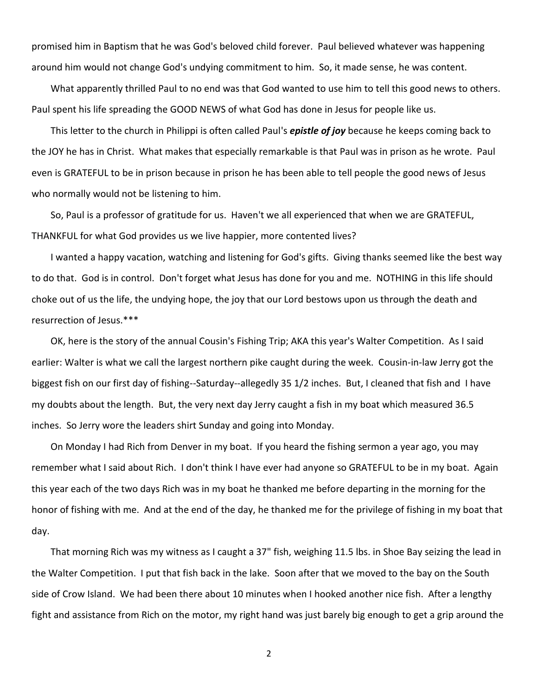promised him in Baptism that he was God's beloved child forever. Paul believed whatever was happening around him would not change God's undying commitment to him. So, it made sense, he was content.

What apparently thrilled Paul to no end was that God wanted to use him to tell this good news to others. Paul spent his life spreading the GOOD NEWS of what God has done in Jesus for people like us.

This letter to the church in Philippi is often called Paul's *epistle of joy* because he keeps coming back to the JOY he has in Christ. What makes that especially remarkable is that Paul was in prison as he wrote. Paul even is GRATEFUL to be in prison because in prison he has been able to tell people the good news of Jesus who normally would not be listening to him.

So, Paul is a professor of gratitude for us. Haven't we all experienced that when we are GRATEFUL, THANKFUL for what God provides us we live happier, more contented lives?

I wanted a happy vacation, watching and listening for God's gifts. Giving thanks seemed like the best way to do that. God is in control. Don't forget what Jesus has done for you and me. NOTHING in this life should choke out of us the life, the undying hope, the joy that our Lord bestows upon us through the death and resurrection of Jesus.\*\*\*

OK, here is the story of the annual Cousin's Fishing Trip; AKA this year's Walter Competition. As I said earlier: Walter is what we call the largest northern pike caught during the week. Cousin-in-law Jerry got the biggest fish on our first day of fishing--Saturday--allegedly 35 1/2 inches. But, I cleaned that fish and I have my doubts about the length. But, the very next day Jerry caught a fish in my boat which measured 36.5 inches. So Jerry wore the leaders shirt Sunday and going into Monday.

On Monday I had Rich from Denver in my boat. If you heard the fishing sermon a year ago, you may remember what I said about Rich. I don't think I have ever had anyone so GRATEFUL to be in my boat. Again this year each of the two days Rich was in my boat he thanked me before departing in the morning for the honor of fishing with me. And at the end of the day, he thanked me for the privilege of fishing in my boat that day.

That morning Rich was my witness as I caught a 37" fish, weighing 11.5 lbs. in Shoe Bay seizing the lead in the Walter Competition. I put that fish back in the lake. Soon after that we moved to the bay on the South side of Crow Island. We had been there about 10 minutes when I hooked another nice fish. After a lengthy fight and assistance from Rich on the motor, my right hand was just barely big enough to get a grip around the

2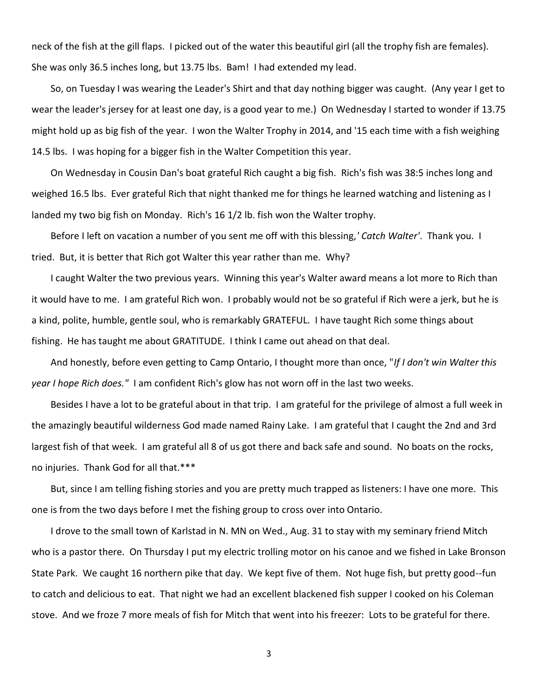neck of the fish at the gill flaps. I picked out of the water this beautiful girl (all the trophy fish are females). She was only 36.5 inches long, but 13.75 lbs. Bam! I had extended my lead.

So, on Tuesday I was wearing the Leader's Shirt and that day nothing bigger was caught. (Any year I get to wear the leader's jersey for at least one day, is a good year to me.) On Wednesday I started to wonder if 13.75 might hold up as big fish of the year. I won the Walter Trophy in 2014, and '15 each time with a fish weighing 14.5 lbs. I was hoping for a bigger fish in the Walter Competition this year.

On Wednesday in Cousin Dan's boat grateful Rich caught a big fish. Rich's fish was 38:5 inches long and weighed 16.5 lbs. Ever grateful Rich that night thanked me for things he learned watching and listening as I landed my two big fish on Monday. Rich's 16 1/2 lb. fish won the Walter trophy.

Before I left on vacation a number of you sent me off with this blessing,*' Catch Walter'*. Thank you. I tried. But, it is better that Rich got Walter this year rather than me. Why?

I caught Walter the two previous years. Winning this year's Walter award means a lot more to Rich than it would have to me. I am grateful Rich won. I probably would not be so grateful if Rich were a jerk, but he is a kind, polite, humble, gentle soul, who is remarkably GRATEFUL. I have taught Rich some things about fishing. He has taught me about GRATITUDE. I think I came out ahead on that deal.

And honestly, before even getting to Camp Ontario, I thought more than once, "*If I don't win Walter this year I hope Rich does."* I am confident Rich's glow has not worn off in the last two weeks.

Besides I have a lot to be grateful about in that trip. I am grateful for the privilege of almost a full week in the amazingly beautiful wilderness God made named Rainy Lake. I am grateful that I caught the 2nd and 3rd largest fish of that week. I am grateful all 8 of us got there and back safe and sound. No boats on the rocks, no injuries. Thank God for all that.\*\*\*

But, since I am telling fishing stories and you are pretty much trapped as listeners: I have one more. This one is from the two days before I met the fishing group to cross over into Ontario.

I drove to the small town of Karlstad in N. MN on Wed., Aug. 31 to stay with my seminary friend Mitch who is a pastor there. On Thursday I put my electric trolling motor on his canoe and we fished in Lake Bronson State Park. We caught 16 northern pike that day. We kept five of them. Not huge fish, but pretty good--fun to catch and delicious to eat. That night we had an excellent blackened fish supper I cooked on his Coleman stove. And we froze 7 more meals of fish for Mitch that went into his freezer: Lots to be grateful for there.

3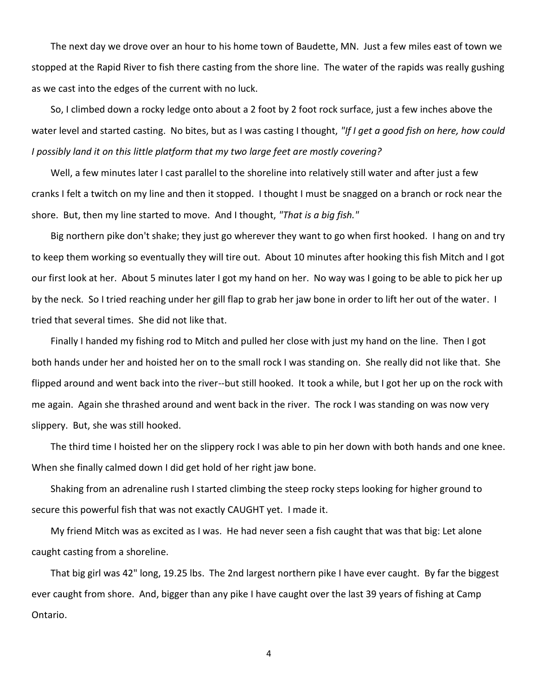The next day we drove over an hour to his home town of Baudette, MN. Just a few miles east of town we stopped at the Rapid River to fish there casting from the shore line. The water of the rapids was really gushing as we cast into the edges of the current with no luck.

So, I climbed down a rocky ledge onto about a 2 foot by 2 foot rock surface, just a few inches above the water level and started casting. No bites, but as I was casting I thought, *"If I get a good fish on here, how could I possibly land it on this little platform that my two large feet are mostly covering?*

Well, a few minutes later I cast parallel to the shoreline into relatively still water and after just a few cranks I felt a twitch on my line and then it stopped. I thought I must be snagged on a branch or rock near the shore. But, then my line started to move. And I thought, *"That is a big fish."*

Big northern pike don't shake; they just go wherever they want to go when first hooked. I hang on and try to keep them working so eventually they will tire out. About 10 minutes after hooking this fish Mitch and I got our first look at her. About 5 minutes later I got my hand on her. No way was I going to be able to pick her up by the neck. So I tried reaching under her gill flap to grab her jaw bone in order to lift her out of the water. I tried that several times. She did not like that.

Finally I handed my fishing rod to Mitch and pulled her close with just my hand on the line. Then I got both hands under her and hoisted her on to the small rock I was standing on. She really did not like that. She flipped around and went back into the river--but still hooked. It took a while, but I got her up on the rock with me again. Again she thrashed around and went back in the river. The rock I was standing on was now very slippery. But, she was still hooked.

The third time I hoisted her on the slippery rock I was able to pin her down with both hands and one knee. When she finally calmed down I did get hold of her right jaw bone.

Shaking from an adrenaline rush I started climbing the steep rocky steps looking for higher ground to secure this powerful fish that was not exactly CAUGHT yet. I made it.

My friend Mitch was as excited as I was. He had never seen a fish caught that was that big: Let alone caught casting from a shoreline.

That big girl was 42" long, 19.25 lbs. The 2nd largest northern pike I have ever caught. By far the biggest ever caught from shore. And, bigger than any pike I have caught over the last 39 years of fishing at Camp Ontario.

4